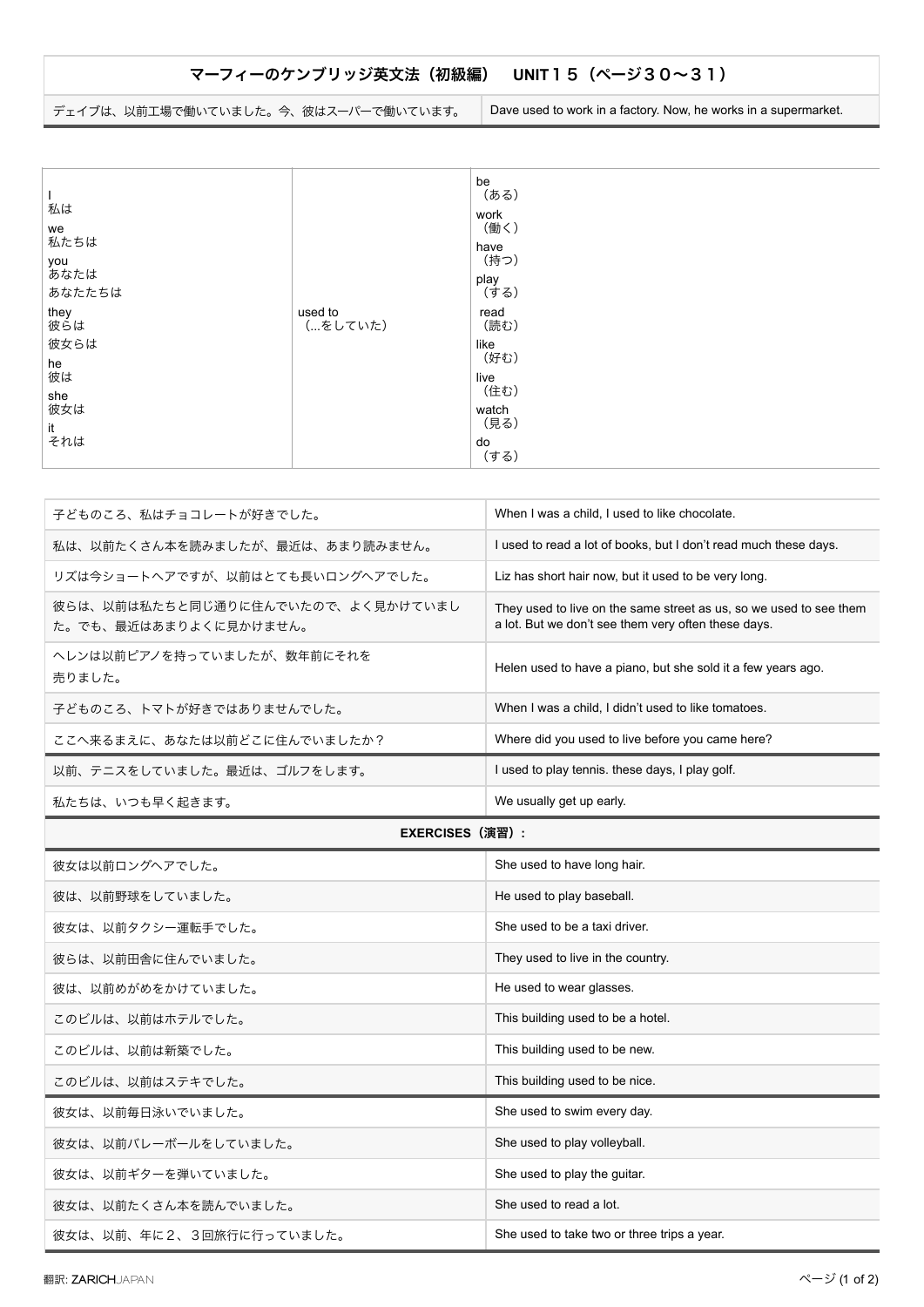## マーフィーのケンブリッジ英文法 (初級編) UNIT15 (ページ30~31)

デェイブは、以前工場で働いていました。今、彼はスーパーで働いています。 Dave used to work in a factory. Now, he works in a supermarket.

| 子どものころ、私はチョコレートが好きでした。                                     | When I was a child, I used to like chocolate.                                                                             |
|------------------------------------------------------------|---------------------------------------------------------------------------------------------------------------------------|
| 私は、以前たくさん本を読みましたが、最近は、あまり読みません。                            | I used to read a lot of books, but I don't read much these days.                                                          |
| リズは今ショートヘアですが、以前はとても長いロングヘアでした。                            | Liz has short hair now, but it used to be very long.                                                                      |
| 彼らは、以前は私たちと同じ通りに住んでいたので、よく見かけていまし<br>た。でも、最近はあまりよくに見かけません。 | They used to live on the same street as us, so we used to see them<br>a lot. But we don't see them very often these days. |
| ヘレンは以前ピアノを持っていましたが、数年前にそれを<br>売りました。                       | Helen used to have a piano, but she sold it a few years ago.                                                              |
| 子どものころ、トマトが好きではありませんでした。                                   | When I was a child, I didn't used to like tomatoes.                                                                       |
| ここへ来るまえに、あなたは以前どこに住んでいましたか?                                | Where did you used to live before you came here?                                                                          |
| 以前、テニスをしていました。最近は、ゴルフをします。                                 | I used to play tennis, these days, I play golf.                                                                           |
| 私たちは、いつも早く起きます。                                            | We usually get up early.                                                                                                  |

## **EXERCISES**ʢԋशʣ**:**

| 彼女は以前ロングへアでした。           | She used to have long hair.                 |
|--------------------------|---------------------------------------------|
| 彼は、以前野球をしていました。          | He used to play baseball.                   |
| 彼女は、以前タクシー運転手でした。        | She used to be a taxi driver.               |
| 彼らは、以前田舎に住んでいました。        | They used to live in the country.           |
| 彼は、以前めがめをかけていました。        | He used to wear glasses.                    |
| このビルは、以前はホテルでした。         | This building used to be a hotel.           |
| このビルは、以前は新築でした。          | This building used to be new.               |
| このビルは、以前はステキでした。         | This building used to be nice.              |
| 彼女は、以前毎日泳いでいました。         | She used to swim every day.                 |
| 彼女は、以前バレーボールをしていました。     | She used to play volleyball.                |
| 彼女は、以前ギターを弾いていました。       | She used to play the guitar.                |
| 彼女は、以前たくさん本を読んでいました。     | She used to read a lot.                     |
| 彼女は、以前、年に2、3回旅行に行っていました。 | She used to take two or three trips a year. |